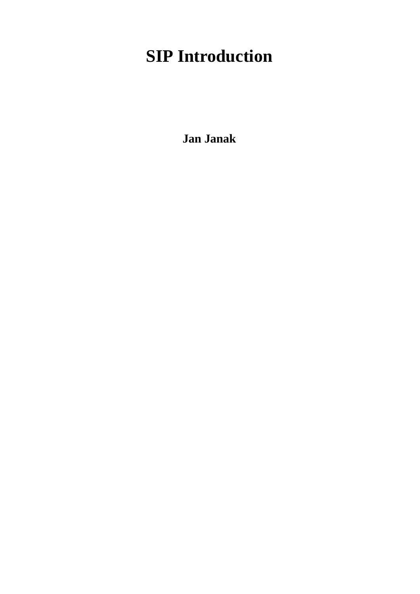# **SIP Introduction**

**Jan Janak**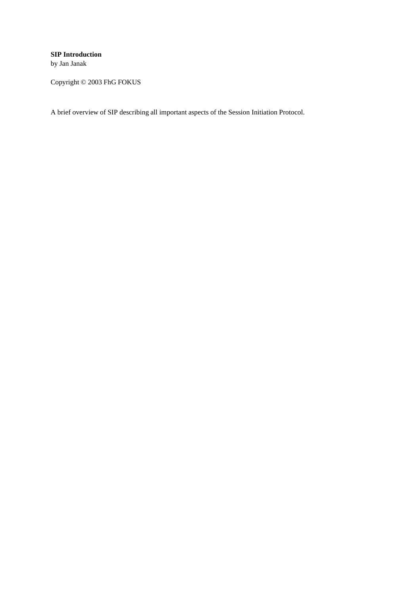#### **SIP Introduction**

by Jan Janak

Copyright © 2003 FhG FOKUS

A brief overview of SIP describing all important aspects of the Session Initiation Protocol.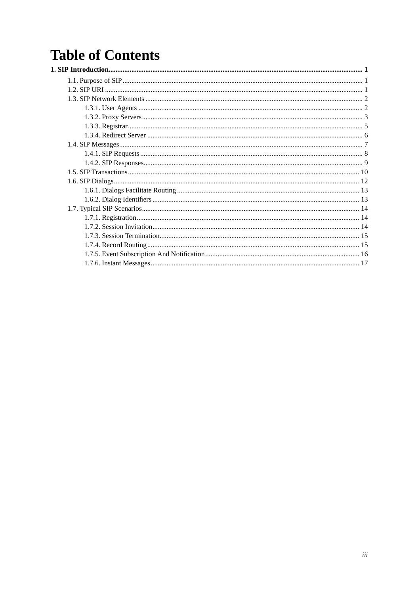## **Table of Contents**  $\overline{1}$ .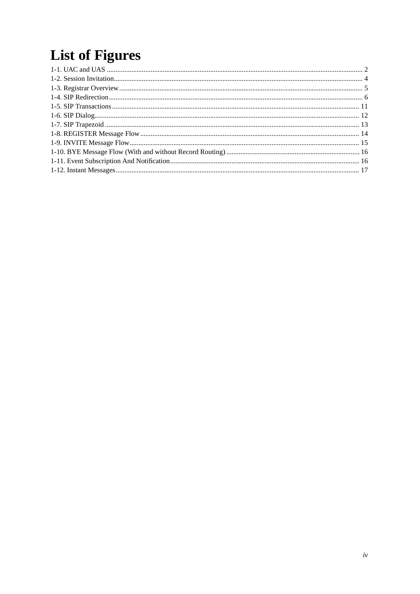# **List of Figures**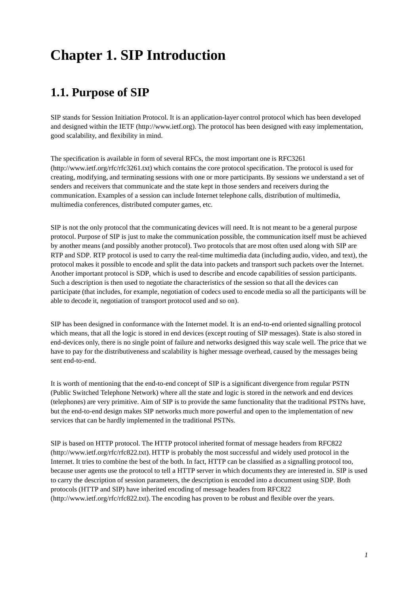## <span id="page-4-1"></span><span id="page-4-0"></span>**Chapter 1. SIP Introduction**

## **1.1. Purpose of SIP**

SIP stands for Session Initiation Protocol. It is an application-layer control protocol which has been developed and designed within the IETF (http://www.ietf.org). The protocol has been designed with easy implementation, good scalability, and flexibility in mind.

The specification is available in form of several RFCs, the most important one is RFC3261 (http://www.ietf.org/rfc/rfc3261.txt) which contains the core protocol specification. The protocol is used for creating, modifying, and terminating sessions with one or more participants. By sessions we understand a set of senders and receivers that communicate and the state kept in those senders and receivers during the communication. Examples of a session can include Internet telephone calls, distribution of multimedia, multimedia conferences, distributed computer games, etc.

SIP is not the only protocol that the communicating devices will need. It is not meant to be a general purpose protocol. Purpose of SIP is just to make the communication possible, the communication itself must be achieved by another means (and possibly another protocol). Two protocols that are most often used along with SIP are RTP and SDP. RTP protocol is used to carry the real-time multimedia data (including audio, video, and text), the protocol makes it possible to encode and split the data into packets and transport such packets over the Internet. Another important protocol is SDP, which is used to describe and encode capabilities of session participants. Such a description is then used to negotiate the characteristics of the session so that all the devices can participate (that includes, for example, negotiation of codecs used to encode media so all the participants will be able to decode it, negotiation of transport protocol used and so on).

SIP has been designed in conformance with the Internet model. It is an end-to-end oriented signalling protocol which means, that all the logic is stored in end devices (except routing of SIP messages). State is also stored in end-devices only, there is no single point of failure and networks designed this way scale well. The price that we have to pay for the distributiveness and scalability is higher message overhead, caused by the messages being sent end-to-end.

It is worth of mentioning that the end-to-end concept of SIP is a significant divergence from regular PSTN (Public Switched Telephone Network) where all the state and logic is stored in the network and end devices (telephones) are very primitive. Aim of SIP is to provide the same functionality that the traditional PSTNs have, but the end-to-end design makes SIP networks much more powerful and open to the implementation of new services that can be hardly implemented in the traditional PSTNs.

<span id="page-4-2"></span>SIP is based on HTTP protocol. The HTTP protocol inherited format of message headers from RFC822 (http://www.ietf.org/rfc/rfc822.txt). HTTP is probably the most successful and widely used protocol in the Internet. It tries to combine the best of the both. In fact, HTTP can be classified as a signalling protocol too, because user agents use the protocol to tell a HTTP server in which documents they are interested in. SIP is used to carry the description of session parameters, the description is encoded into a document using SDP. Both protocols (HTTP and SIP) have inherited encoding of message headers from RFC822 (http://www.ietf.org/rfc/rfc822.txt). The encoding has proven to be robust and flexible over the years.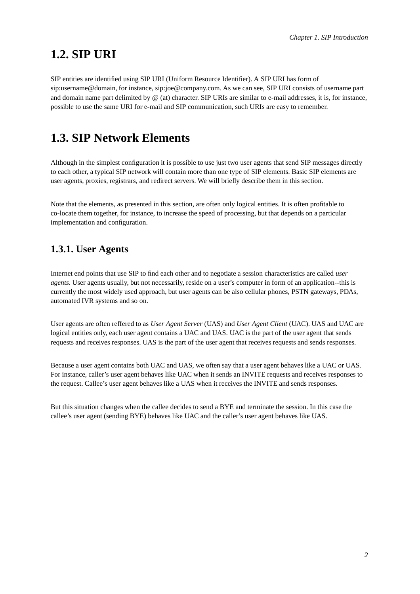## **1.2. SIP URI**

SIP entities are identified using SIP URI (Uniform Resource Identifier). A SIP URI has form of sip:username@domain, for instance, sip:joe@company.com. As we can see, SIP URI consists of username part and domain name part delimited by @ (at) character. SIP URIs are similar to e-mail addresses, it is, for instance, possible to use the same URI for e-mail and SIP communication, such URIs are easy to remember.

## <span id="page-5-0"></span>**1.3. SIP Network Elements**

Although in the simplest configuration it is possible to use just two user agents that send SIP messages directly to each other, a typical SIP network will contain more than one type of SIP elements. Basic SIP elements are user agents, proxies, registrars, and redirect servers. We will briefly describe them in this section.

<span id="page-5-1"></span>Note that the elements, as presented in this section, are often only logical entities. It is often profitable to co-locate them together, for instance, to increase the speed of processing, but that depends on a particular implementation and configuration.

## **1.3.1. User Agents**

Internet end points that use SIP to find each other and to negotiate a session characteristics are called *user agents*. User agents usually, but not necessarily, reside on a user's computer in form of an application--this is currently the most widely used approach, but user agents can be also cellular phones, PSTN gateways, PDAs, automated IVR systems and so on.

User agents are often reffered to as *User Agent Server* (UAS) and *User Agent Client* (UAC). UAS and UAC are logical entities only, each user agent contains a UAC and UAS. UAC is the part of the user agent that sends requests and receives responses. UAS is the part of the user agent that receives requests and sends responses.

Because a user agent contains both UAC and UAS, we often say that a user agent behaves like a UAC or UAS. For instance, caller's user agent behaves like UAC when it sends an INVITE requests and receives responses to the request. Callee's user agent behaves like a UAS when it receives the INVITE and sends responses.

<span id="page-5-2"></span>But this situation changes when the callee decides to send a BYE and terminate the session. In this case the callee's user agent (sending BYE) behaves like UAC and the caller's user agent behaves like UAS.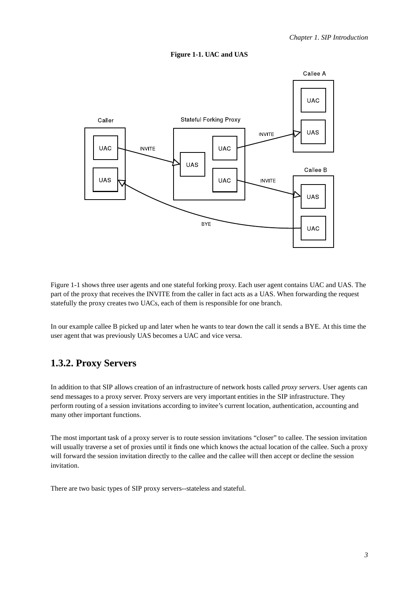

#### **Figure 1-1. UAC and UAS**

[Figure](#page-5-2) 1-1 shows three user agents and one stateful forking proxy. Each user agent contains UAC and UAS. The part of the proxy that receives the INVITE from the caller in fact acts as a UAS. When forwarding the request statefully the proxy creates two UACs, each of them is responsible for one branch.

<span id="page-6-0"></span>In our example callee B picked up and later when he wants to tear down the call it sends a BYE. At this time the user agent that was previously UAS becomes a UAC and vice versa.

## **1.3.2. Proxy Servers**

In addition to that SIP allows creation of an infrastructure of network hosts called *proxy servers*. User agents can send messages to a proxy server. Proxy servers are very important entities in the SIP infrastructure. They perform routing of a session invitations according to invitee's current location, authentication, accounting and many other important functions.

The most important task of a proxy server is to route session invitations "closer" to callee. The session invitation will usually traverse a set of proxies until it finds one which knows the actual location of the callee. Such a proxy will forward the session invitation directly to the callee and the callee will then accept or decline the session invitation.

There are two basic types of SIP proxy servers--stateless and stateful.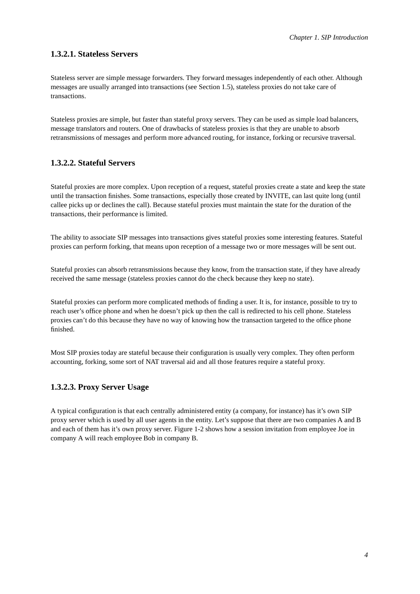### **1.3.2.1. Stateless Servers**

Stateless server are simple message forwarders. They forward messages independently of each other. Although messages are usually arranged into transactions (see [Section](#page-13-0) 1.5), stateless proxies do not take care of transactions.

Stateless proxies are simple, but faster than stateful proxy servers. They can be used as simple load balancers, message translators and routers. One of drawbacks of stateless proxies is that they are unable to absorb retransmissions of messages and perform more advanced routing, for instance, forking or recursive traversal.

### **1.3.2.2. Stateful Servers**

Stateful proxies are more complex. Upon reception of a request, stateful proxies create a state and keep the state until the transaction finishes. Some transactions, especially those created by INVITE, can last quite long (until callee picks up or declines the call). Because stateful proxies must maintain the state for the duration of the transactions, their performance is limited.

The ability to associate SIP messages into transactions gives stateful proxies some interesting features. Stateful proxies can perform forking, that means upon reception of a message two or more messages will be sent out.

Stateful proxies can absorb retransmissions because they know, from the transaction state, if they have already received the same message (stateless proxies cannot do the check because they keep no state).

Stateful proxies can perform more complicated methods of finding a user. It is, for instance, possible to try to reach user's office phone and when he doesn't pick up then the call is redirected to his cell phone. Stateless proxies can't do this because they have no way of knowing how the transaction targeted to the office phone finished.

Most SIP proxies today are stateful because their configuration is usually very complex. They often perform accounting, forking, some sort of NAT traversal aid and all those features require a stateful proxy.

### **1.3.2.3. Proxy Server Usage**

<span id="page-7-0"></span>A typical configuration is that each centrally administered entity (a company, for instance) has it's own SIP proxy server which is used by all user agents in the entity. Let's suppose that there are two companies A and B and each of them has it's own proxy server. [Figure](#page-7-0) 1-2 shows how a session invitation from employee Joe in company A will reach employee Bob in company B.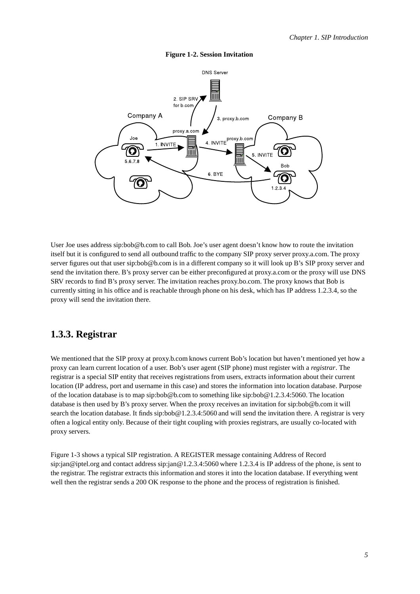

#### **Figure 1-2. Session Invitation**

User Joe uses address sip:bob@b.com to call Bob. Joe's user agent doesn't know how to route the invitation itself but it is configured to send all outbound traffic to the company SIP proxy server proxy.a.com. The proxy server figures out that user sip:bob@b.com is in a different company so it will look up B's SIP proxy server and send the invitation there. B's proxy server can be either preconfigured at proxy.a.com or the proxy will use DNS SRV records to find B's proxy server. The invitation reaches proxy.bo.com. The proxy knows that Bob is currently sitting in his office and is reachable through phone on his desk, which has IP address 1.2.3.4, so the proxy will send the invitation there.

### <span id="page-8-0"></span>**1.3.3. Registrar**

We mentioned that the SIP proxy at proxy.b.com knows current Bob's location but haven't mentioned yet how a proxy can learn current location of a user. Bob's user agent (SIP phone) must register with a *registrar*. The registrar is a special SIP entity that receives registrations from users, extracts information about their current location (IP address, port and username in this case) and stores the information into location database. Purpose of the location database is to map sip:bob@b.com to something like sip:bob@1.2.3.4:5060. The location database is then used by B's proxy server. When the proxy receives an invitation for sip:bob@b.com it will search the location database. It finds sip:bob@1.2.3.4:5060 and will send the invitation there. A registrar is very often a logical entity only. Because of their tight coupling with proxies registrars, are usually co-located with proxy servers.

<span id="page-8-1"></span>[Figure](#page-8-1) 1-3 shows a typical SIP registration. A REGISTER message containing Address of Record sip:jan@iptel.org and contact address sip:jan@1.2.3.4:5060 where 1.2.3.4 is IP address of the phone, is sent to the registrar. The registrar extracts this information and stores it into the location database. If everything went well then the registrar sends a 200 OK response to the phone and the process of registration is finished.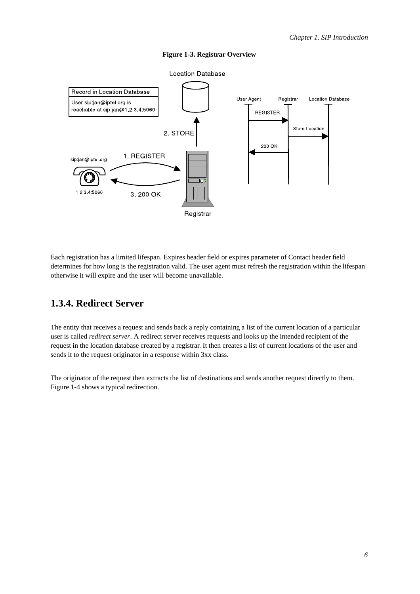

#### **Figure 1-3. Registrar Overview**

<span id="page-9-0"></span>Each registration has a limited lifespan. Expires header field or expires parameter of Contact header field determines for how long is the registration valid. The user agent must refresh the registration within the lifespan otherwise it will expire and the user will become unavailable.

### **1.3.4. Redirect Server**

The entity that receives a request and sends back a reply containing a list of the current location of a particular user is called *redirect server*. A redirect server receives requests and looks up the intended recipient of the request in the location database created by a registrar. It then creates a list of current locations of the user and sends it to the request originator in a response within 3xx class.

<span id="page-9-1"></span>The originator of the request then extracts the list of destinations and sends another request directly to them. [Figure](#page-9-1) 1-4 shows a typical redirection.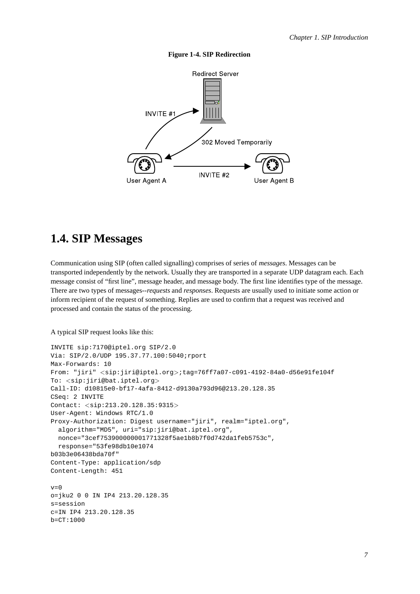

#### **Figure 1-4. SIP Redirection**

## <span id="page-10-0"></span>**1.4. SIP Messages**

Communication using SIP (often called signalling) comprises of series of *messages*. Messages can be transported independently by the network. Usually they are transported in a separate UDP datagram each. Each message consist of "first line", message header, and message body. The first line identifies type of the message. There are two types of messages--*requests* and *responses*. Requests are usually used to initiate some action or inform recipient of the request of something. Replies are used to confirm that a request was received and processed and contain the status of the processing.

#### A typical SIP request looks like this:

```
INVITE sip:7170@iptel.org SIP/2.0
Via: SIP/2.0/UDP 195.37.77.100:5040;rport
Max-Forwards: 10
From: "jiri" <sip:jiri@iptel.org>;tag=76ff7a07-c091-4192-84a0-d56e91fe104f
To: <sip:jiri@bat.iptel.org>
Call-ID: d10815e0-bf17-4afa-8412-d9130a793d96@213.20.128.35
CSeq: 2 INVITE
Contact: <sip:213.20.128.35:9315>
User-Agent: Windows RTC/1.0
Proxy-Authorization: Digest username="jiri", realm="iptel.org",
 algorithm="MD5", uri="sip:jiri@bat.iptel.org",
 nonce="3cef753900000001771328f5ae1b8b7f0d742da1feb5753c",
 response="53fe98db10e1074
b03b3e06438bda70f"
Content-Type: application/sdp
Content-Length: 451
v=0o=jku2 0 0 IN IP4 213.20.128.35
s=session
c=IN IP4 213.20.128.35
b=CT:1000
```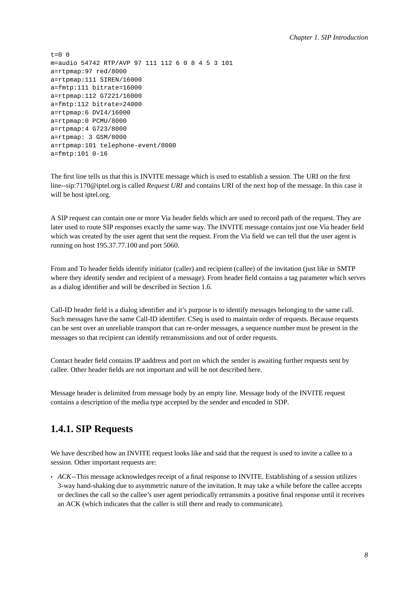$t=0$  0 m=audio 54742 RTP/AVP 97 111 112 6 0 8 4 5 3 101 a=rtpmap:97 red/8000 a=rtpmap:111 SIREN/16000 a=fmtp:111 bitrate=16000 a=rtpmap:112 G7221/16000 a=fmtp:112 bitrate=24000 a=rtpmap:6 DVI4/16000 a=rtpmap:0 PCMU/8000 a=rtpmap:4 G723/8000 a=rtpmap: 3 GSM/8000 a=rtpmap:101 telephone-event/8000 a=fmtp:101 0-16

The first line tells us that this is INVITE message which is used to establish a session. The URI on the first line--sip:7170@iptel.org is called *Request URI* and contains URI of the next hop of the message. In this case it will be host iptel.org.

A SIP request can contain one or more Via header fields which are used to record path of the request. They are later used to route SIP responses exactly the same way. The INVITE message contains just one Via header field which was created by the user agent that sent the request. From the Via field we can tell that the user agent is running on host 195.37.77.100 and port 5060.

From and To header fields identify initiator (caller) and recipient (callee) of the invitation (just like in SMTP where they identify sender and recipient of a message). From header field contains a tag parameter which serves as a dialog identifier and will be described in [Section](#page-15-0) 1.6.

Call-ID header field is a dialog identifier and it's purpose is to identify messages belonging to the same call. Such messages have the same Call-ID identifier. CSeq is used to maintain order of requests. Because requests can be sent over an unreliable transport that can re-order messages, a sequence number must be present in the messages so that recipient can identify retransmissions and out of order requests.

Contact header field contains IP aaddress and port on which the sender is awaiting further requests sent by callee. Other header fields are not important and will be not described here.

<span id="page-11-0"></span>Message header is delimited from message body by an empty line. Message body of the INVITE request contains a description of the media type accepted by the sender and encoded in SDP.

## **1.4.1. SIP Requests**

We have described how an INVITE request looks like and said that the request is used to invite a callee to a session. Other important requests are:

• *ACK*--This message acknowledges receipt of a final response to INVITE. Establishing of a session utilizes 3-way hand-shaking due to asymmetric nature of the invitation. It may take a while before the callee accepts or declines the call so the callee's user agent periodically retransmits a positive final response until it receives an ACK (which indicates that the caller is still there and ready to communicate).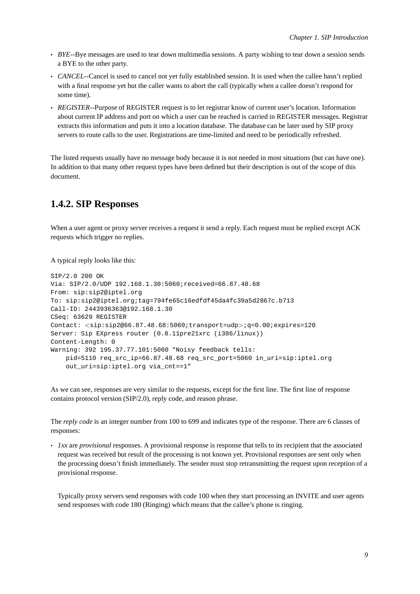- *BYE*--Bye messages are used to tear down multimedia sessions. A party wishing to tear down a session sends a BYE to the other party.
- *CANCEL*--Cancel is used to cancel not yet fully established session. It is used when the callee hasn't replied with a final response yet but the caller wants to abort the call (typically when a callee doesn't respond for some time).
- *REGISTER*--Purpose of REGISTER request is to let registrar know of current user's location. Information about current IP address and port on which a user can be reached is carried in REGISTER messages. Registrar extracts this information and puts it into a location database. The database can be later used by SIP proxy servers to route calls to the user. Registrations are time-limited and need to be periodically refreshed.

<span id="page-12-0"></span>The listed requests usually have no message body because it is not needed in most situations (but can have one). In addition to that many other request types have been defined but their description is out of the scope of this document.

### **1.4.2. SIP Responses**

When a user agent or proxy server receives a request it send a reply. Each request must be replied except ACK requests which trigger no replies.

A typical reply looks like this:

```
SIP/2.0 200 OK
Via: SIP/2.0/UDP 192.168.1.30:5060;received=66.87.48.68
From: sip:sip2@iptel.org
To: sip:sip2@iptel.org;tag=794fe65c16edfdf45da4fc39a5d2867c.b713
Call-ID: 2443936363@192.168.1.30
CSeq: 63629 REGISTER
Contact: <sip:sip2@66.87.48.68:5060;transport=udp>;q=0.00;expires=120
Server: Sip EXpress router (0.8.11pre21xrc (i386/linux))
Content-Length: 0
Warning: 392 195.37.77.101:5060 "Noisy feedback tells:
   pid=5110 req_src_ip=66.87.48.68 req_src_port=5060 in_uri=sip:iptel.org
    out_uri=sip:iptel.org via_cnt==1"
```
As we can see, responses are very similar to the requests, except for the first line. The first line of response contains protocol version (SIP/2.0), reply code, and reason phrase.

The *reply code* is an integer number from 100 to 699 and indicates type of the response. There are 6 classes of responses:

• *1xx* are *provisional* responses. A provisional response is response that tells to its recipient that the associated request was received but result of the processing is not known yet. Provisional responses are sent only when the processing doesn't finish immediately. The sender must stop retransmitting the request upon reception of a provisional response.

Typically proxy servers send responses with code 100 when they start processing an INVITE and user agents send responses with code 180 (Ringing) which means that the callee's phone is ringing.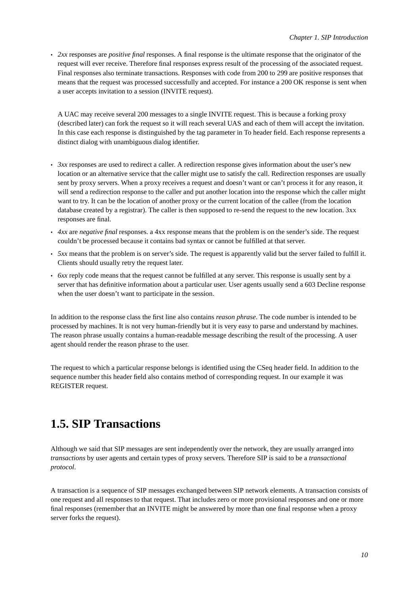• *2xx* responses are *positive final* responses. A final response is the ultimate response that the originator of the request will ever receive. Therefore final responses express result of the processing of the associated request. Final responses also terminate transactions. Responses with code from 200 to 299 are positive responses that means that the request was processed successfully and accepted. For instance a 200 OK response is sent when a user accepts invitation to a session (INVITE request).

A UAC may receive several 200 messages to a single INVITE request. This is because a forking proxy (described later) can fork the request so it will reach several UAS and each of them will accept the invitation. In this case each response is distinguished by the tag parameter in To header field. Each response represents a distinct dialog with unambiguous dialog identifier.

- *3xx* responses are used to redirect a caller. A redirection response gives information about the user's new location or an alternative service that the caller might use to satisfy the call. Redirection responses are usually sent by proxy servers. When a proxy receives a request and doesn't want or can't process it for any reason, it will send a redirection response to the caller and put another location into the response which the caller might want to try. It can be the location of another proxy or the current location of the callee (from the location database created by a registrar). The caller is then supposed to re-send the request to the new location. 3xx responses are final.
- *4xx* are *negative final* responses. a 4xx response means that the problem is on the sender's side. The request couldn't be processed because it contains bad syntax or cannot be fulfilled at that server.
- *5xx* means that the problem is on server's side. The request is apparently valid but the server failed to fulfill it. Clients should usually retry the request later.
- *6xx* reply code means that the request cannot be fulfilled at any server. This response is usually sent by a server that has definitive information about a particular user. User agents usually send a 603 Decline response when the user doesn't want to participate in the session.

In addition to the response class the first line also contains *reason phrase*. The code number is intended to be processed by machines. It is not very human-friendly but it is very easy to parse and understand by machines. The reason phrase usually contains a human-readable message describing the result of the processing. A user agent should render the reason phrase to the user.

The request to which a particular response belongs is identified using the CSeq header field. In addition to the sequence number this header field also contains method of corresponding request. In our example it was REGISTER request.

## <span id="page-13-0"></span>**1.5. SIP Transactions**

Although we said that SIP messages are sent independently over the network, they are usually arranged into *transactions* by user agents and certain types of proxy servers. Therefore SIP is said to be a *transactional protocol*.

A transaction is a sequence of SIP messages exchanged between SIP network elements. A transaction consists of one request and all responses to that request. That includes zero or more provisional responses and one or more final responses (remember that an INVITE might be answered by more than one final response when a proxy server forks the request).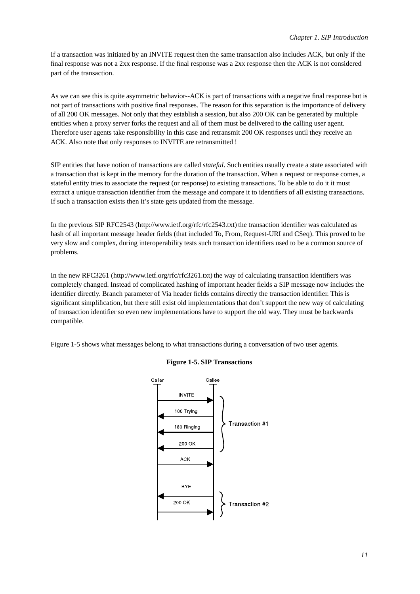If a transaction was initiated by an INVITE request then the same transaction also includes ACK, but only if the final response was not a 2xx response. If the final response was a 2xx response then the ACK is not considered part of the transaction.

As we can see this is quite asymmetric behavior--ACK is part of transactions with a negative final response but is not part of transactions with positive final responses. The reason for this separation is the importance of delivery of all 200 OK messages. Not only that they establish a session, but also 200 OK can be generated by multiple entities when a proxy server forks the request and all of them must be delivered to the calling user agent. Therefore user agents take responsibility in this case and retransmit 200 OK responses until they receive an ACK. Also note that only responses to INVITE are retransmitted !

SIP entities that have notion of transactions are called *stateful*. Such entities usually create a state associated with a transaction that is kept in the memory for the duration of the transaction. When a request or response comes, a stateful entity tries to associate the request (or response) to existing transactions. To be able to do it it must extract a unique transaction identifier from the message and compare it to identifiers of all existing transactions. If such a transaction exists then it's state gets updated from the message.

In the previous SIP RFC2543 (http://www.ietf.org/rfc/rfc2543.txt) the transaction identifier was calculated as hash of all important message header fields (that included To, From, Request-URI and CSeq). This proved to be very slow and complex, during interoperability tests such transaction identifiers used to be a common source of problems.

In the new RFC3261 (http://www.ietf.org/rfc/rfc3261.txt) the way of calculating transaction identifiers was completely changed. Instead of complicated hashing of important header fields a SIP message now includes the identifier directly. Branch parameter of Via header fields contains directly the transaction identifier. This is significant simplification, but there still exist old implementations that don't support the new way of calculating of transaction identifier so even new implementations have to support the old way. They must be backwards compatible.

<span id="page-14-0"></span>[Figure](#page-14-0) 1-5 shows what messages belong to what transactions during a conversation of two user agents.



#### **Figure 1-5. SIP Transactions**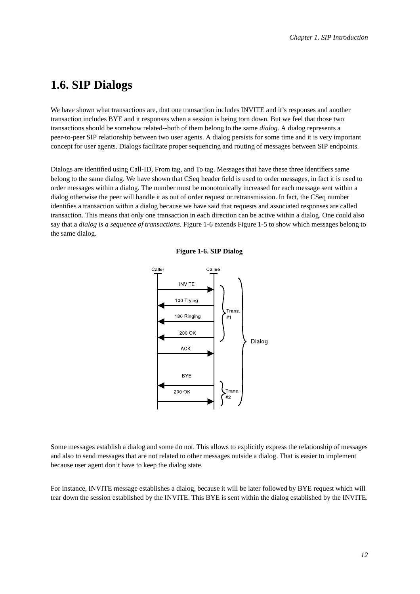## <span id="page-15-0"></span>**1.6. SIP Dialogs**

We have shown what transactions are, that one transaction includes INVITE and it's responses and another transaction includes BYE and it responses when a session is being torn down. But we feel that those two transactions should be somehow related--both of them belong to the same *dialog*. A dialog represents a peer-to-peer SIP relationship between two user agents. A dialog persists for some time and it is very important concept for user agents. Dialogs facilitate proper sequencing and routing of messages between SIP endpoints.

<span id="page-15-1"></span>Dialogs are identified using Call-ID, From tag, and To tag. Messages that have these three identifiers same belong to the same dialog. We have shown that CSeq header field is used to order messages, in fact it is used to order messages within a dialog. The number must be monotonically increased for each message sent within a dialog otherwise the peer will handle it as out of order request or retransmission. In fact, the CSeq number identifies a transaction within a dialog because we have said that requests and associated responses are called transaction. This means that only one transaction in each direction can be active within a dialog. One could also say that a *dialog is a sequence of transactions*. [Figure](#page-15-1) 1-6 extends [Figure](#page-14-0) 1-5 to show which messages belong to the same dialog.



**Figure 1-6. SIP Dialog**

Some messages establish a dialog and some do not. This allows to explicitly express the relationship of messages and also to send messages that are not related to other messages outside a dialog. That is easier to implement because user agent don't have to keep the dialog state.

For instance, INVITE message establishes a dialog, because it will be later followed by BYE request which will tear down the session established by the INVITE. This BYE is sent within the dialog established by the INVITE.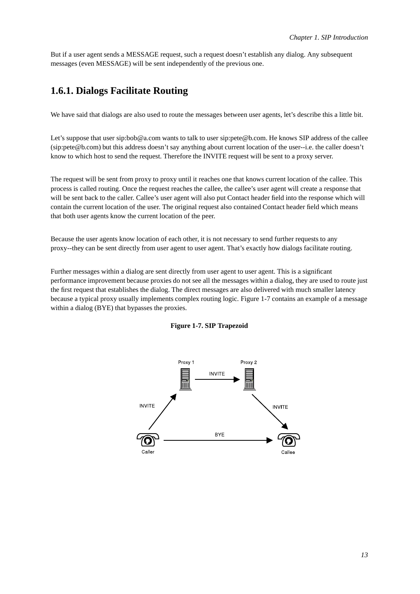<span id="page-16-0"></span>But if a user agent sends a MESSAGE request, such a request doesn't establish any dialog. Any subsequent messages (even MESSAGE) will be sent independently of the previous one.

### **1.6.1. Dialogs Facilitate Routing**

We have said that dialogs are also used to route the messages between user agents, let's describe this a little bit.

Let's suppose that user sip:bob@a.com wants to talk to user sip:pete@b.com. He knows SIP address of the callee (sip:pete@b.com) but this address doesn't say anything about current location of the user--i.e. the caller doesn't know to which host to send the request. Therefore the INVITE request will be sent to a proxy server.

The request will be sent from proxy to proxy until it reaches one that knows current location of the callee. This process is called routing. Once the request reaches the callee, the callee's user agent will create a response that will be sent back to the caller. Callee's user agent will also put Contact header field into the response which will contain the current location of the user. The original request also contained Contact header field which means that both user agents know the current location of the peer.

Because the user agents know location of each other, it is not necessary to send further requests to any proxy--they can be sent directly from user agent to user agent. That's exactly how dialogs facilitate routing.

<span id="page-16-2"></span>Further messages within a dialog are sent directly from user agent to user agent. This is a significant performance improvement because proxies do not see all the messages within a dialog, they are used to route just the first request that establishes the dialog. The direct messages are also delivered with much smaller latency because a typical proxy usually implements complex routing logic. [Figure](#page-16-2) 1-7 contains an example of a message within a dialog (BYE) that bypasses the proxies.

<span id="page-16-1"></span>

#### **Figure 1-7. SIP Trapezoid**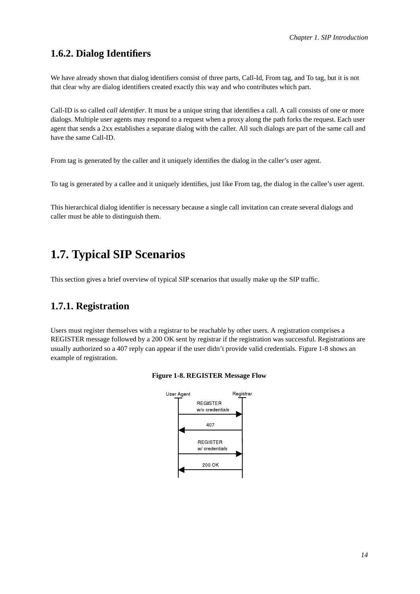## **1.6.2. Dialog Identifiers**

We have already shown that dialog identifiers consist of three parts, Call-Id, From tag, and To tag, but it is not that clear why are dialog identifiers created exactly this way and who contributes which part.

Call-ID is so called *call identifier*. It must be a unique string that identifies a call. A call consists of one or more dialogs. Multiple user agents may respond to a request when a proxy along the path forks the request. Each user agent that sends a 2xx establishes a separate dialog with the caller. All such dialogs are part of the same call and have the same Call-ID.

From tag is generated by the caller and it uniquely identifies the dialog in the caller's user agent.

To tag is generated by a callee and it uniquely identifies, just like From tag, the dialog in the callee's user agent.

<span id="page-17-0"></span>This hierarchical dialog identifier is necessary because a single call invitation can create several dialogs and caller must be able to distinguish them.

## **1.7. Typical SIP Scenarios**

<span id="page-17-1"></span>This section gives a brief overview of typical SIP scenarios that usually make up the SIP traffic.

## **1.7.1. Registration**

<span id="page-17-3"></span><span id="page-17-2"></span>Users must register themselves with a registrar to be reachable by other users. A registration comprises a REGISTER message followed by a 200 OK sent by registrar if the registration was successful. Registrations are usually authorized so a 407 reply can appear if the user didn't provide valid credentials. [Figure](#page-17-3) 1-8 shows an example of registration.



#### **Figure 1-8. REGISTER Message Flow**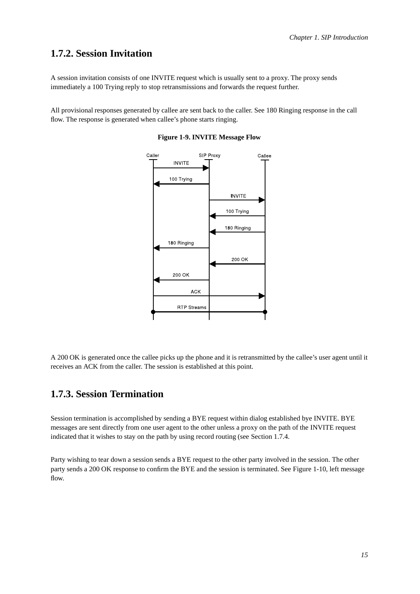## **1.7.2. Session Invitation**

A session invitation consists of one INVITE request which is usually sent to a proxy. The proxy sends immediately a 100 Trying reply to stop retransmissions and forwards the request further.

<span id="page-18-2"></span>All provisional responses generated by callee are sent back to the caller. See 180 Ringing response in the call flow. The response is generated when callee's phone starts ringing.



**Figure 1-9. INVITE Message Flow**

<span id="page-18-0"></span>A 200 OK is generated once the callee picks up the phone and it is retransmitted by the callee's user agent until it receives an ACK from the caller. The session is established at this point.

## **1.7.3. Session Termination**

Session termination is accomplished by sending a BYE request within dialog established bye INVITE. BYE messages are sent directly from one user agent to the other unless a proxy on the path of the INVITE request indicated that it wishes to stay on the path by using record routing (see [Section](#page-18-1) 1.7.4.

<span id="page-18-1"></span>Party wishing to tear down a session sends a BYE request to the other party involved in the session. The other party sends a 200 OK response to confirm the BYE and the session is terminated. See [Figure](#page-19-1) 1-10, left message flow.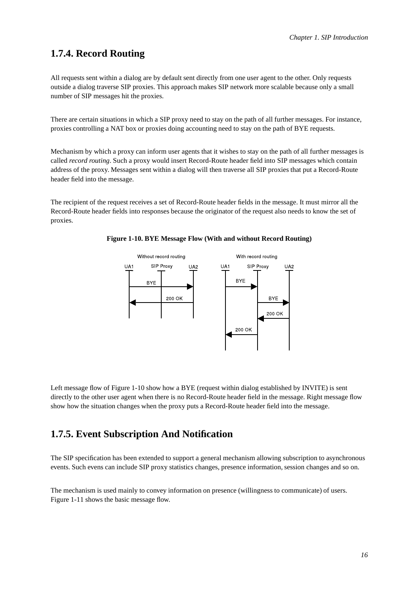### **1.7.4. Record Routing**

All requests sent within a dialog are by default sent directly from one user agent to the other. Only requests outside a dialog traverse SIP proxies. This approach makes SIP network more scalable because only a small number of SIP messages hit the proxies.

There are certain situations in which a SIP proxy need to stay on the path of all further messages. For instance, proxies controlling a NAT box or proxies doing accounting need to stay on the path of BYE requests.

Mechanism by which a proxy can inform user agents that it wishes to stay on the path of all further messages is called *record routing*. Such a proxy would insert Record-Route header field into SIP messages which contain address of the proxy. Messages sent within a dialog will then traverse all SIP proxies that put a Record-Route header field into the message.

<span id="page-19-1"></span>The recipient of the request receives a set of Record-Route header fields in the message. It must mirror all the Record-Route header fields into responses because the originator of the request also needs to know the set of proxies.





<span id="page-19-0"></span>Left message flow of [Figure](#page-19-1) 1-10 show how a BYE (request within dialog established by INVITE) is sent directly to the other user agent when there is no Record-Route header field in the message. Right message flow show how the situation changes when the proxy puts a Record-Route header field into the message.

## **1.7.5. Event Subscription And Notification**

The SIP specification has been extended to support a general mechanism allowing subscription to asynchronous events. Such evens can include SIP proxy statistics changes, presence information, session changes and so on.

<span id="page-19-2"></span>The mechanism is used mainly to convey information on presence (willingness to communicate) of users. [Figure](#page-19-2) 1-11 shows the basic message flow.